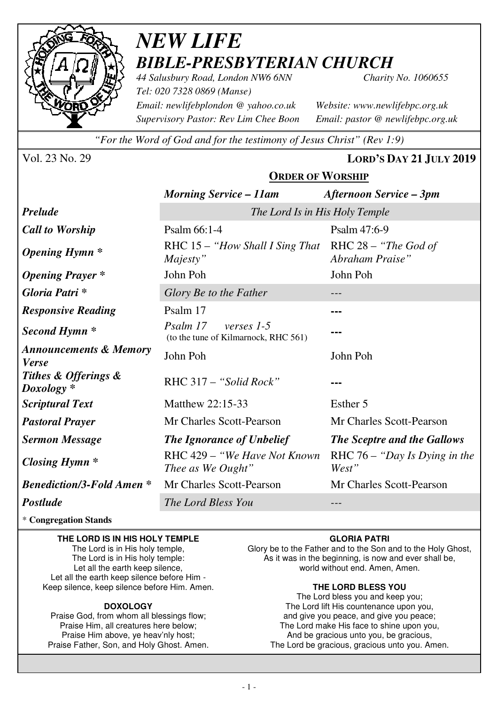

### *NEW LIFE BIBLE-PRESBYTERIAN CHURCH 44 Salusbury Road, London NW6 6NN Charity No. 1060655*

*Tel: 020 7328 0869 (Manse) Email: newlifebplondon @ yahoo.co.uk Website: www.newlifebpc.org.uk Supervisory Pastor: Rev Lim Chee Boon Email: pastor @ newlifebpc.org.uk* 

*"For the Word of God and for the testimony of Jesus Christ" (Rev 1:9)*

Vol. 23 No. 29 **LORD'S DAY 21 JULY 2019**

#### **ORDER OF WORSHIP**

|                                                   | <b>Morning Service – 11am</b>                                                                  | <b>Afternoon Service – 3pm</b>            |  |  |
|---------------------------------------------------|------------------------------------------------------------------------------------------------|-------------------------------------------|--|--|
| <b>Prelude</b>                                    | The Lord Is in His Holy Temple                                                                 |                                           |  |  |
| <b>Call to Worship</b>                            | Psalm 66:1-4                                                                                   | Psalm 47:6-9                              |  |  |
| <b>Opening Hymn</b> *                             | RHC 15 – "How Shall I Sing That<br>Majesty"                                                    | RHC $28 -$ "The God of<br>Abraham Praise" |  |  |
| <b>Opening Prayer</b> *                           | John Poh                                                                                       | John Poh                                  |  |  |
| Gloria Patri*                                     | Glory Be to the Father                                                                         |                                           |  |  |
| <b>Responsive Reading</b>                         | Psalm 17                                                                                       |                                           |  |  |
| Second Hymn <sup>*</sup>                          | Psalm 17<br>verses 1-5<br>(to the tune of Kilmarnock, RHC 561)                                 |                                           |  |  |
| <b>Announcements &amp; Memory</b><br><b>Verse</b> | John Poh                                                                                       | John Poh                                  |  |  |
| Tithes & Offerings &<br>$Doxology *$              | RHC 317 - "Solid Rock"                                                                         |                                           |  |  |
| <b>Scriptural Text</b>                            | Matthew 22:15-33                                                                               | Esther 5                                  |  |  |
| <b>Pastoral Prayer</b>                            | Mr Charles Scott-Pearson                                                                       | Mr Charles Scott-Pearson                  |  |  |
| <b>Sermon Message</b>                             | <b>The Ignorance of Unbelief</b>                                                               | <b>The Sceptre and the Gallows</b>        |  |  |
| <b>Closing Hymn</b> *                             | RHC 429 - "We Have Not Known"<br>RHC $76 - "Day Is Dying in the$<br>West"<br>Thee as We Ought" |                                           |  |  |
| <b>Benediction/3-Fold Amen*</b>                   | Mr Charles Scott-Pearson                                                                       | Mr Charles Scott-Pearson                  |  |  |
| Postlude                                          | The Lord Bless You                                                                             |                                           |  |  |

\* **Congregation Stands** 

#### **THE LORD IS IN HIS HOLY TEMPLE**

The Lord is in His holy temple, The Lord is in His holy temple: Let all the earth keep silence, Let all the earth keep silence before Him - Keep silence, keep silence before Him. Amen.

#### **DOXOLOGY**

Praise God, from whom all blessings flow; Praise Him, all creatures here below; Praise Him above, ye heav'nly host; Praise Father, Son, and Holy Ghost. Amen.

#### **GLORIA PATRI**

Glory be to the Father and to the Son and to the Holy Ghost, As it was in the beginning, is now and ever shall be, world without end. Amen, Amen.

#### **THE LORD BLESS YOU**

The Lord bless you and keep you; The Lord lift His countenance upon you, and give you peace, and give you peace; The Lord make His face to shine upon you, And be gracious unto you, be gracious, The Lord be gracious, gracious unto you. Amen.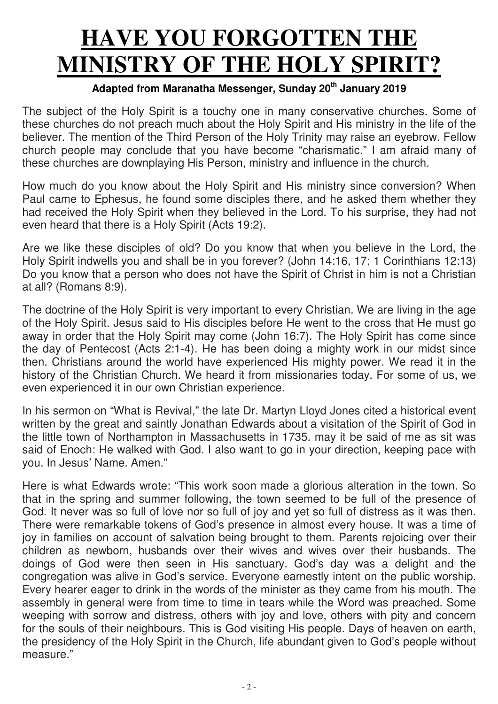# **HAVE YOU FORGOTTEN THE MINISTRY OF THE HOLY SPIRIT?**

#### **Adapted from Maranatha Messenger, Sunday 20th January 2019**

The subject of the Holy Spirit is a touchy one in many conservative churches. Some of these churches do not preach much about the Holy Spirit and His ministry in the life of the believer. The mention of the Third Person of the Holy Trinity may raise an eyebrow. Fellow church people may conclude that you have become "charismatic." I am afraid many of these churches are downplaying His Person, ministry and influence in the church.

How much do you know about the Holy Spirit and His ministry since conversion? When Paul came to Ephesus, he found some disciples there, and he asked them whether they had received the Holy Spirit when they believed in the Lord. To his surprise, they had not even heard that there is a Holy Spirit (Acts 19:2).

Are we like these disciples of old? Do you know that when you believe in the Lord, the Holy Spirit indwells you and shall be in you forever? (John 14:16, 17; 1 Corinthians 12:13) Do you know that a person who does not have the Spirit of Christ in him is not a Christian at all? (Romans 8:9).

The doctrine of the Holy Spirit is very important to every Christian. We are living in the age of the Holy Spirit. Jesus said to His disciples before He went to the cross that He must go away in order that the Holy Spirit may come (John 16:7). The Holy Spirit has come since the day of Pentecost (Acts 2:1-4). He has been doing a mighty work in our midst since then. Christians around the world have experienced His mighty power. We read it in the history of the Christian Church. We heard it from missionaries today. For some of us, we even experienced it in our own Christian experience.

In his sermon on "What is Revival," the late Dr. Martyn Lloyd Jones cited a historical event written by the great and saintly Jonathan Edwards about a visitation of the Spirit of God in the little town of Northampton in Massachusetts in 1735. may it be said of me as sit was said of Enoch: He walked with God. I also want to go in your direction, keeping pace with you. In Jesus' Name. Amen."

Here is what Edwards wrote: "This work soon made a glorious alteration in the town. So that in the spring and summer following, the town seemed to be full of the presence of God. It never was so full of love nor so full of joy and yet so full of distress as it was then. There were remarkable tokens of God's presence in almost every house. It was a time of joy in families on account of salvation being brought to them. Parents rejoicing over their children as newborn, husbands over their wives and wives over their husbands. The doings of God were then seen in His sanctuary. God's day was a delight and the congregation was alive in God's service. Everyone earnestly intent on the public worship. Every hearer eager to drink in the words of the minister as they came from his mouth. The assembly in general were from time to time in tears while the Word was preached. Some weeping with sorrow and distress, others with joy and love, others with pity and concern for the souls of their neighbours. This is God visiting His people. Days of heaven on earth, the presidency of the Holy Spirit in the Church, life abundant given to God's people without measure."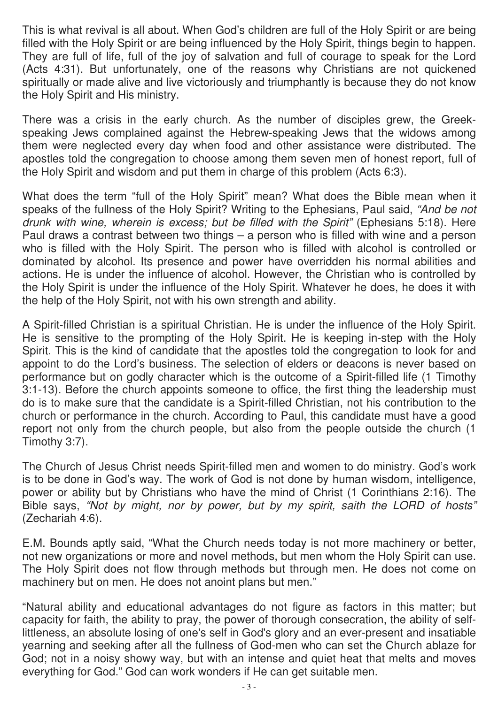This is what revival is all about. When God's children are full of the Holy Spirit or are being filled with the Holy Spirit or are being influenced by the Holy Spirit, things begin to happen. They are full of life, full of the joy of salvation and full of courage to speak for the Lord (Acts 4:31). But unfortunately, one of the reasons why Christians are not quickened spiritually or made alive and live victoriously and triumphantly is because they do not know the Holy Spirit and His ministry.

There was a crisis in the early church. As the number of disciples grew, the Greekspeaking Jews complained against the Hebrew-speaking Jews that the widows among them were neglected every day when food and other assistance were distributed. The apostles told the congregation to choose among them seven men of honest report, full of the Holy Spirit and wisdom and put them in charge of this problem (Acts 6:3).

What does the term "full of the Holy Spirit" mean? What does the Bible mean when it speaks of the fullness of the Holy Spirit? Writing to the Ephesians, Paul said, *"And be not drunk with wine, wherein is excess; but be filled with the Spirit"* (Ephesians 5:18). Here Paul draws a contrast between two things – a person who is filled with wine and a person who is filled with the Holy Spirit. The person who is filled with alcohol is controlled or dominated by alcohol. Its presence and power have overridden his normal abilities and actions. He is under the influence of alcohol. However, the Christian who is controlled by the Holy Spirit is under the influence of the Holy Spirit. Whatever he does, he does it with the help of the Holy Spirit, not with his own strength and ability.

A Spirit-filled Christian is a spiritual Christian. He is under the influence of the Holy Spirit. He is sensitive to the prompting of the Holy Spirit. He is keeping in-step with the Holy Spirit. This is the kind of candidate that the apostles told the congregation to look for and appoint to do the Lord's business. The selection of elders or deacons is never based on performance but on godly character which is the outcome of a Spirit-filled life (1 Timothy 3:1-13). Before the church appoints someone to office, the first thing the leadership must do is to make sure that the candidate is a Spirit-filled Christian, not his contribution to the church or performance in the church. According to Paul, this candidate must have a good report not only from the church people, but also from the people outside the church (1 Timothy 3:7).

The Church of Jesus Christ needs Spirit-filled men and women to do ministry. God's work is to be done in God's way. The work of God is not done by human wisdom, intelligence, power or ability but by Christians who have the mind of Christ (1 Corinthians 2:16). The Bible says, *"Not by might, nor by power, but by my spirit, saith the LORD of hosts"* (Zechariah 4:6).

E.M. Bounds aptly said, "What the Church needs today is not more machinery or better, not new organizations or more and novel methods, but men whom the Holy Spirit can use. The Holy Spirit does not flow through methods but through men. He does not come on machinery but on men. He does not anoint plans but men."

"Natural ability and educational advantages do not figure as factors in this matter; but capacity for faith, the ability to pray, the power of thorough consecration, the ability of selflittleness, an absolute losing of one's self in God's glory and an ever-present and insatiable yearning and seeking after all the fullness of God-men who can set the Church ablaze for God; not in a noisy showy way, but with an intense and quiet heat that melts and moves everything for God." God can work wonders if He can get suitable men.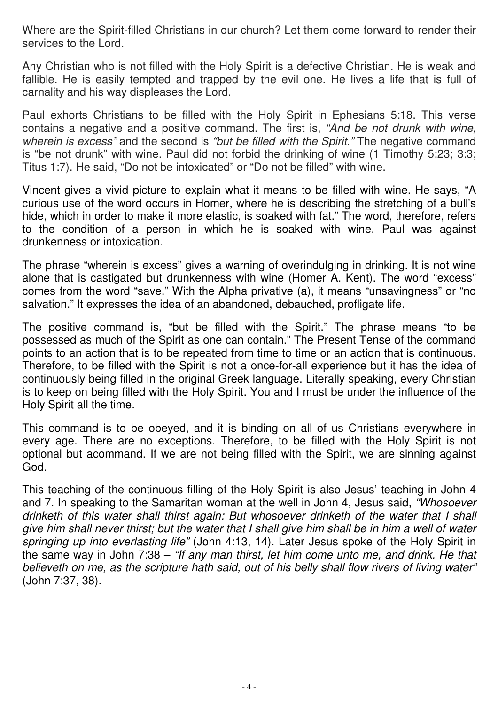Where are the Spirit-filled Christians in our church? Let them come forward to render their services to the Lord.

Any Christian who is not filled with the Holy Spirit is a defective Christian. He is weak and fallible. He is easily tempted and trapped by the evil one. He lives a life that is full of carnality and his way displeases the Lord.

Paul exhorts Christians to be filled with the Holy Spirit in Ephesians 5:18. This verse contains a negative and a positive command. The first is, *"And be not drunk with wine, wherein is excess"* and the second is *"but be filled with the Spirit."* The negative command is "be not drunk" with wine. Paul did not forbid the drinking of wine (1 Timothy 5:23; 3:3; Titus 1:7). He said, "Do not be intoxicated" or "Do not be filled" with wine.

Vincent gives a vivid picture to explain what it means to be filled with wine. He says, "A curious use of the word occurs in Homer, where he is describing the stretching of a bull's hide, which in order to make it more elastic, is soaked with fat." The word, therefore, refers to the condition of a person in which he is soaked with wine. Paul was against drunkenness or intoxication.

The phrase "wherein is excess" gives a warning of overindulging in drinking. It is not wine alone that is castigated but drunkenness with wine (Homer A. Kent). The word "excess" comes from the word "save." With the Alpha privative (a), it means "unsavingness" or "no salvation." It expresses the idea of an abandoned, debauched, profligate life.

The positive command is, "but be filled with the Spirit." The phrase means "to be possessed as much of the Spirit as one can contain." The Present Tense of the command points to an action that is to be repeated from time to time or an action that is continuous. Therefore, to be filled with the Spirit is not a once-for-all experience but it has the idea of continuously being filled in the original Greek language. Literally speaking, every Christian is to keep on being filled with the Holy Spirit. You and I must be under the influence of the Holy Spirit all the time.

This command is to be obeyed, and it is binding on all of us Christians everywhere in every age. There are no exceptions. Therefore, to be filled with the Holy Spirit is not optional but acommand. If we are not being filled with the Spirit, we are sinning against God.

This teaching of the continuous filling of the Holy Spirit is also Jesus' teaching in John 4 and 7. In speaking to the Samaritan woman at the well in John 4, Jesus said, *"Whosoever drinketh of this water shall thirst again: But whosoever drinketh of the water that I shall give him shall never thirst; but the water that I shall give him shall be in him a well of water springing up into everlasting life"* (John 4:13, 14). Later Jesus spoke of the Holy Spirit in the same way in John 7:38 – *"If any man thirst, let him come unto me, and drink. He that believeth on me, as the scripture hath said, out of his belly shall flow rivers of living water"* (John 7:37, 38).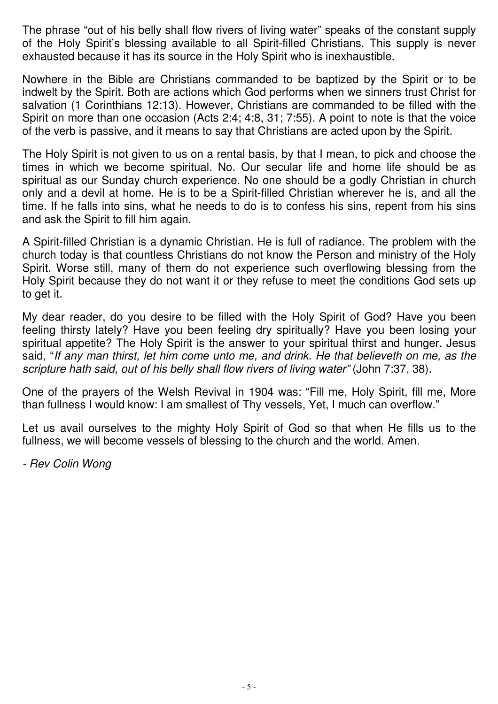The phrase "out of his belly shall flow rivers of living water" speaks of the constant supply of the Holy Spirit's blessing available to all Spirit-filled Christians. This supply is never exhausted because it has its source in the Holy Spirit who is inexhaustible.

Nowhere in the Bible are Christians commanded to be baptized by the Spirit or to be indwelt by the Spirit. Both are actions which God performs when we sinners trust Christ for salvation (1 Corinthians 12:13). However, Christians are commanded to be filled with the Spirit on more than one occasion (Acts 2:4; 4:8, 31; 7:55). A point to note is that the voice of the verb is passive, and it means to say that Christians are acted upon by the Spirit.

The Holy Spirit is not given to us on a rental basis, by that I mean, to pick and choose the times in which we become spiritual. No. Our secular life and home life should be as spiritual as our Sunday church experience. No one should be a godly Christian in church only and a devil at home. He is to be a Spirit-filled Christian wherever he is, and all the time. If he falls into sins, what he needs to do is to confess his sins, repent from his sins and ask the Spirit to fill him again.

A Spirit-filled Christian is a dynamic Christian. He is full of radiance. The problem with the church today is that countless Christians do not know the Person and ministry of the Holy Spirit. Worse still, many of them do not experience such overflowing blessing from the Holy Spirit because they do not want it or they refuse to meet the conditions God sets up to get it.

My dear reader, do you desire to be filled with the Holy Spirit of God? Have you been feeling thirsty lately? Have you been feeling dry spiritually? Have you been losing your spiritual appetite? The Holy Spirit is the answer to your spiritual thirst and hunger. Jesus said, "*If any man thirst, let him come unto me, and drink. He that believeth on me, as the scripture hath said, out of his belly shall flow rivers of living water"* (John 7:37, 38).

One of the prayers of the Welsh Revival in 1904 was: "Fill me, Holy Spirit, fill me, More than fullness I would know: I am smallest of Thy vessels, Yet, I much can overflow."

Let us avail ourselves to the mighty Holy Spirit of God so that when He fills us to the fullness, we will become vessels of blessing to the church and the world. Amen.

*- Rev Colin Wong*